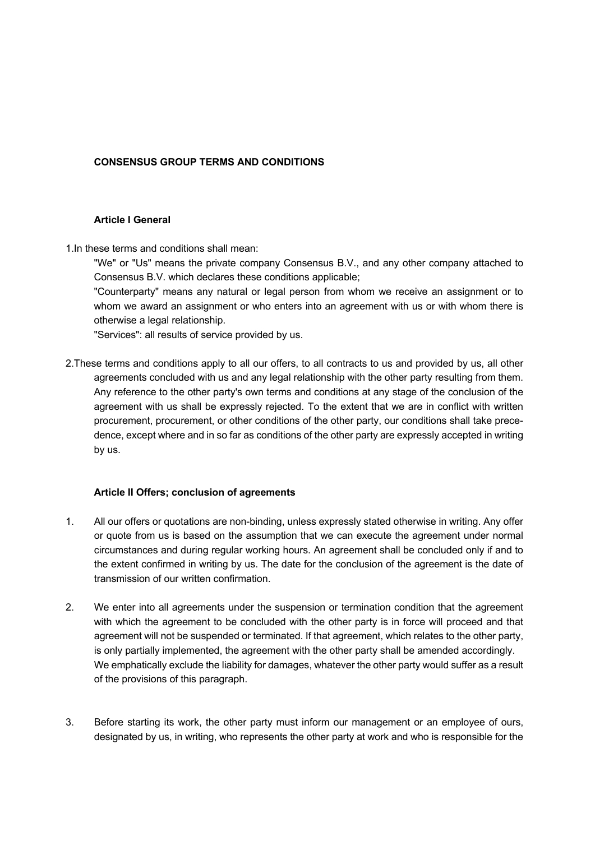# **CONSENSUS GROUP TERMS AND CONDITIONS**

#### **Article I General**

1.In these terms and conditions shall mean:

"We" or "Us" means the private company Consensus B.V., and any other company attached to Consensus B.V. which declares these conditions applicable;

"Counterparty" means any natural or legal person from whom we receive an assignment or to whom we award an assignment or who enters into an agreement with us or with whom there is otherwise a legal relationship.

"Services": all results of service provided by us.

2.These terms and conditions apply to all our offers, to all contracts to us and provided by us, all other agreements concluded with us and any legal relationship with the other party resulting from them. Any reference to the other party's own terms and conditions at any stage of the conclusion of the agreement with us shall be expressly rejected. To the extent that we are in conflict with written procurement, procurement, or other conditions of the other party, our conditions shall take precedence, except where and in so far as conditions of the other party are expressly accepted in writing by us.

# **Article II Offers; conclusion of agreements**

- 1. All our offers or quotations are non-binding, unless expressly stated otherwise in writing. Any offer or quote from us is based on the assumption that we can execute the agreement under normal circumstances and during regular working hours. An agreement shall be concluded only if and to the extent confirmed in writing by us. The date for the conclusion of the agreement is the date of transmission of our written confirmation.
- 2. We enter into all agreements under the suspension or termination condition that the agreement with which the agreement to be concluded with the other party is in force will proceed and that agreement will not be suspended or terminated. If that agreement, which relates to the other party, is only partially implemented, the agreement with the other party shall be amended accordingly. We emphatically exclude the liability for damages, whatever the other party would suffer as a result of the provisions of this paragraph.
- 3. Before starting its work, the other party must inform our management or an employee of ours, designated by us, in writing, who represents the other party at work and who is responsible for the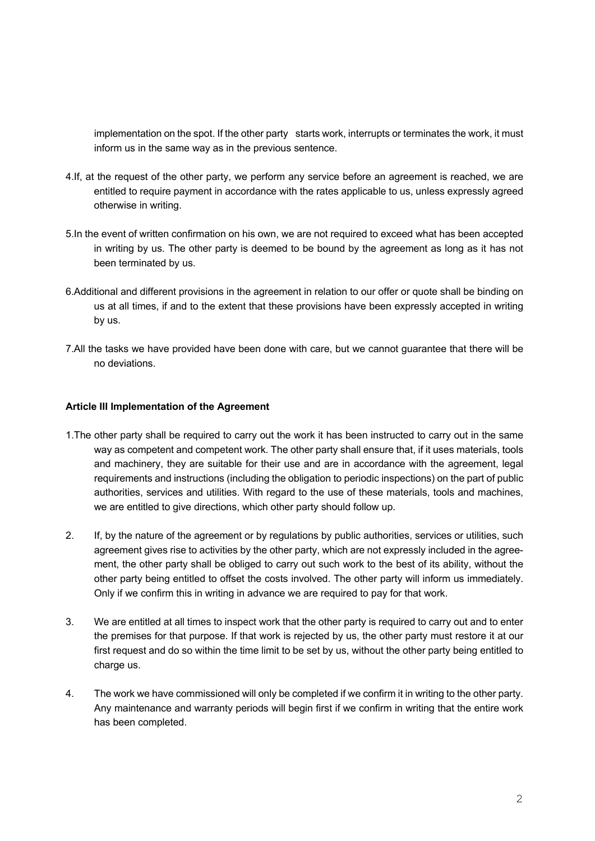implementation on the spot. If the other party starts work, interrupts or terminates the work, it must inform us in the same way as in the previous sentence.

- 4.If, at the request of the other party, we perform any service before an agreement is reached, we are entitled to require payment in accordance with the rates applicable to us, unless expressly agreed otherwise in writing.
- 5.In the event of written confirmation on his own, we are not required to exceed what has been accepted in writing by us. The other party is deemed to be bound by the agreement as long as it has not been terminated by us.
- 6.Additional and different provisions in the agreement in relation to our offer or quote shall be binding on us at all times, if and to the extent that these provisions have been expressly accepted in writing by us.
- 7.All the tasks we have provided have been done with care, but we cannot guarantee that there will be no deviations.

### **Article III Implementation of the Agreement**

- 1.The other party shall be required to carry out the work it has been instructed to carry out in the same way as competent and competent work. The other party shall ensure that, if it uses materials, tools and machinery, they are suitable for their use and are in accordance with the agreement, legal requirements and instructions (including the obligation to periodic inspections) on the part of public authorities, services and utilities. With regard to the use of these materials, tools and machines, we are entitled to give directions, which other party should follow up.
- 2. If, by the nature of the agreement or by regulations by public authorities, services or utilities, such agreement gives rise to activities by the other party, which are not expressly included in the agreement, the other party shall be obliged to carry out such work to the best of its ability, without the other party being entitled to offset the costs involved. The other party will inform us immediately. Only if we confirm this in writing in advance we are required to pay for that work.
- 3. We are entitled at all times to inspect work that the other party is required to carry out and to enter the premises for that purpose. If that work is rejected by us, the other party must restore it at our first request and do so within the time limit to be set by us, without the other party being entitled to charge us.
- 4. The work we have commissioned will only be completed if we confirm it in writing to the other party. Any maintenance and warranty periods will begin first if we confirm in writing that the entire work has been completed.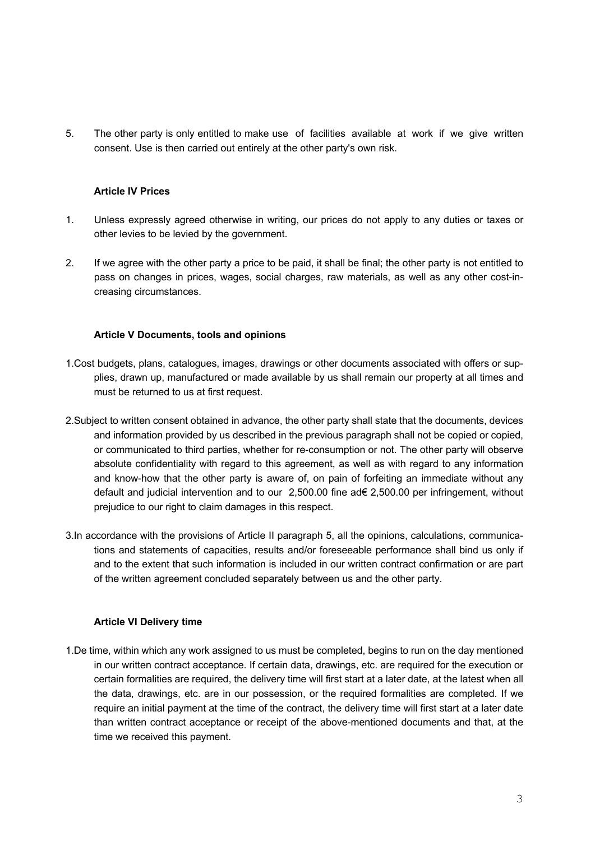5. The other party is only entitled to make use of facilities available at work if we give written consent. Use is then carried out entirely at the other party's own risk.

# **Article IV Prices**

- 1. Unless expressly agreed otherwise in writing, our prices do not apply to any duties or taxes or other levies to be levied by the government.
- 2. If we agree with the other party a price to be paid, it shall be final; the other party is not entitled to pass on changes in prices, wages, social charges, raw materials, as well as any other cost-increasing circumstances.

### **Article V Documents, tools and opinions**

- 1.Cost budgets, plans, catalogues, images, drawings or other documents associated with offers or supplies, drawn up, manufactured or made available by us shall remain our property at all times and must be returned to us at first request.
- 2.Subject to written consent obtained in advance, the other party shall state that the documents, devices and information provided by us described in the previous paragraph shall not be copied or copied, or communicated to third parties, whether for re-consumption or not. The other party will observe absolute confidentiality with regard to this agreement, as well as with regard to any information and know-how that the other party is aware of, on pain of forfeiting an immediate without any default and judicial intervention and to our 2,500.00 fine ad€ 2,500.00 per infringement, without prejudice to our right to claim damages in this respect.
- 3.In accordance with the provisions of Article II paragraph 5, all the opinions, calculations, communications and statements of capacities, results and/or foreseeable performance shall bind us only if and to the extent that such information is included in our written contract confirmation or are part of the written agreement concluded separately between us and the other party.

# **Article VI Delivery time**

1.De time, within which any work assigned to us must be completed, begins to run on the day mentioned in our written contract acceptance. If certain data, drawings, etc. are required for the execution or certain formalities are required, the delivery time will first start at a later date, at the latest when all the data, drawings, etc. are in our possession, or the required formalities are completed. If we require an initial payment at the time of the contract, the delivery time will first start at a later date than written contract acceptance or receipt of the above-mentioned documents and that, at the time we received this payment.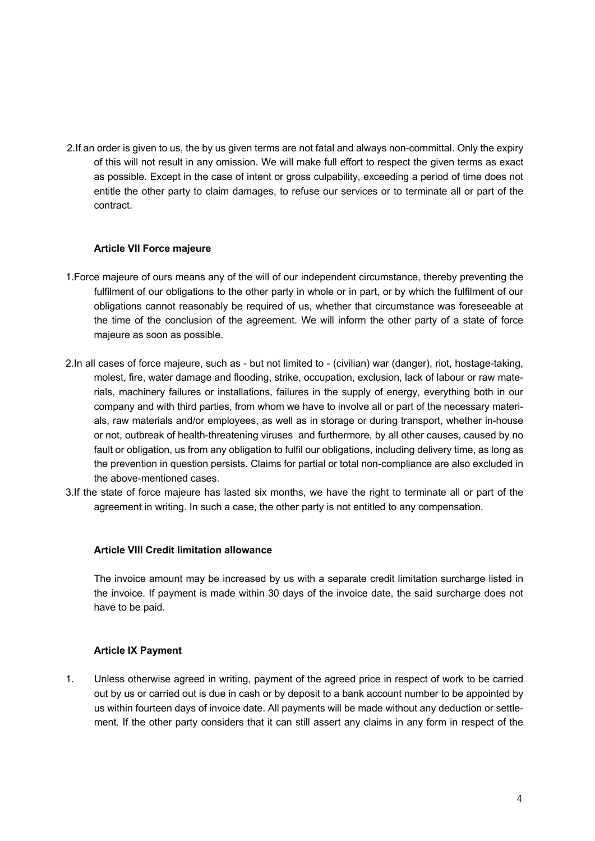2.If an order is given to us, the by us given terms are not fatal and always non-committal. Only the expiry of this will not result in any omission. We will make full effort to respect the given terms as exact as possible. Except in the case of intent or gross culpability, exceeding a period of time does not entitle the other party to claim damages, to refuse our services or to terminate all or part of the contract.

### **Article VII Force majeure**

- 1.Force majeure of ours means any of the will of our independent circumstance, thereby preventing the fulfilment of our obligations to the other party in whole or in part, or by which the fulfilment of our obligations cannot reasonably be required of us, whether that circumstance was foreseeable at the time of the conclusion of the agreement. We will inform the other party of a state of force majeure as soon as possible.
- 2.In all cases of force majeure, such as but not limited to (civilian) war (danger), riot, hostage-taking, molest, fire, water damage and flooding, strike, occupation, exclusion, lack of labour or raw materials, machinery failures or installations, failures in the supply of energy, everything both in our company and with third parties, from whom we have to involve all or part of the necessary materials, raw materials and/or employees, as well as in storage or during transport, whether in-house or not, outbreak of health-threatening viruses and furthermore, by all other causes, caused by no fault or obligation, us from any obligation to fulfil our obligations, including delivery time, as long as the prevention in question persists. Claims for partial or total non-compliance are also excluded in the above-mentioned cases.
- 3.If the state of force majeure has lasted six months, we have the right to terminate all or part of the agreement in writing. In such a case, the other party is not entitled to any compensation.

#### **Article VIII Credit limitation allowance**

The invoice amount may be increased by us with a separate credit limitation surcharge listed in the invoice. If payment is made within 30 days of the invoice date, the said surcharge does not have to be paid.

### **Article IX Payment**

1. Unless otherwise agreed in writing, payment of the agreed price in respect of work to be carried out by us or carried out is due in cash or by deposit to a bank account number to be appointed by us within fourteen days of invoice date. All payments will be made without any deduction or settlement. If the other party considers that it can still assert any claims in any form in respect of the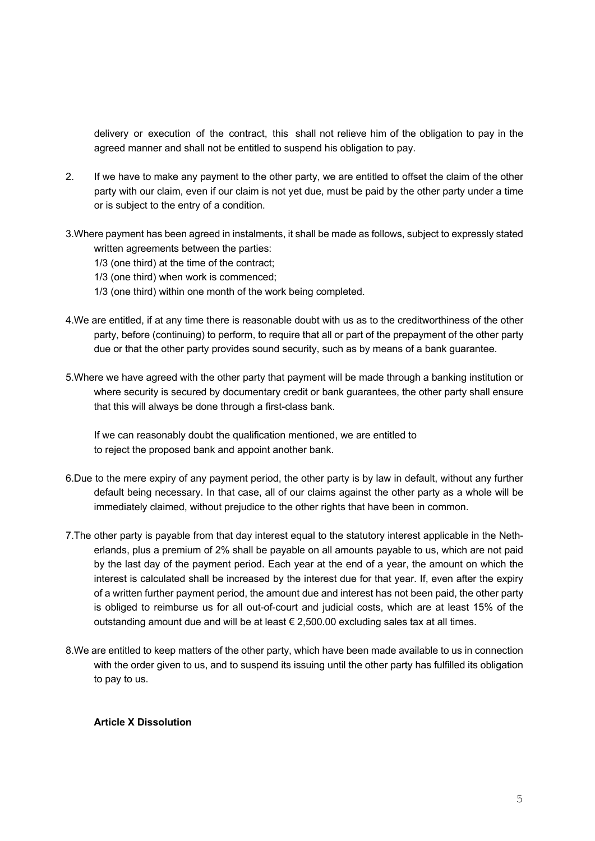delivery or execution of the contract, this shall not relieve him of the obligation to pay in the agreed manner and shall not be entitled to suspend his obligation to pay.

- 2. If we have to make any payment to the other party, we are entitled to offset the claim of the other party with our claim, even if our claim is not yet due, must be paid by the other party under a time or is subject to the entry of a condition.
- 3.Where payment has been agreed in instalments, it shall be made as follows, subject to expressly stated written agreements between the parties:
	- 1/3 (one third) at the time of the contract;
	- 1/3 (one third) when work is commenced;
	- 1/3 (one third) within one month of the work being completed.
- 4.We are entitled, if at any time there is reasonable doubt with us as to the creditworthiness of the other party, before (continuing) to perform, to require that all or part of the prepayment of the other party due or that the other party provides sound security, such as by means of a bank guarantee.
- 5.Where we have agreed with the other party that payment will be made through a banking institution or where security is secured by documentary credit or bank guarantees, the other party shall ensure that this will always be done through a first-class bank.

If we can reasonably doubt the qualification mentioned, we are entitled to to reject the proposed bank and appoint another bank.

- 6.Due to the mere expiry of any payment period, the other party is by law in default, without any further default being necessary. In that case, all of our claims against the other party as a whole will be immediately claimed, without prejudice to the other rights that have been in common.
- 7.The other party is payable from that day interest equal to the statutory interest applicable in the Netherlands, plus a premium of 2% shall be payable on all amounts payable to us, which are not paid by the last day of the payment period. Each year at the end of a year, the amount on which the interest is calculated shall be increased by the interest due for that year. If, even after the expiry of a written further payment period, the amount due and interest has not been paid, the other party is obliged to reimburse us for all out-of-court and judicial costs, which are at least 15% of the outstanding amount due and will be at least  $\epsilon$  2,500.00 excluding sales tax at all times.
- 8.We are entitled to keep matters of the other party, which have been made available to us in connection with the order given to us, and to suspend its issuing until the other party has fulfilled its obligation to pay to us.

### **Article X Dissolution**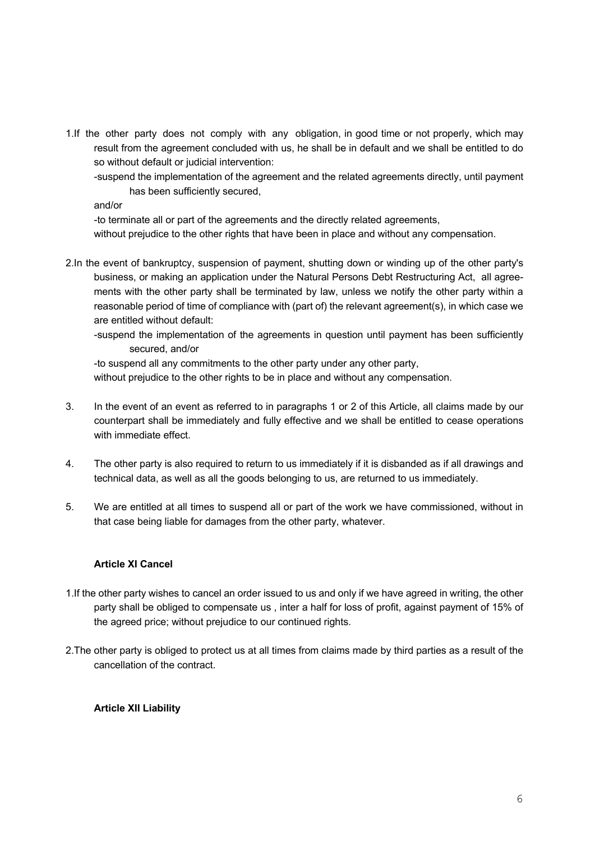- 1.If the other party does not comply with any obligation, in good time or not properly, which may result from the agreement concluded with us, he shall be in default and we shall be entitled to do so without default or judicial intervention:
	- -suspend the implementation of the agreement and the related agreements directly, until payment has been sufficiently secured,

and/or

-to terminate all or part of the agreements and the directly related agreements,

without prejudice to the other rights that have been in place and without any compensation.

- 2.In the event of bankruptcy, suspension of payment, shutting down or winding up of the other party's business, or making an application under the Natural Persons Debt Restructuring Act, all agreements with the other party shall be terminated by law, unless we notify the other party within a reasonable period of time of compliance with (part of) the relevant agreement(s), in which case we are entitled without default:
	- -suspend the implementation of the agreements in question until payment has been sufficiently secured, and/or

-to suspend all any commitments to the other party under any other party, without prejudice to the other rights to be in place and without any compensation.

- 3. In the event of an event as referred to in paragraphs 1 or 2 of this Article, all claims made by our counterpart shall be immediately and fully effective and we shall be entitled to cease operations with immediate effect.
- 4. The other party is also required to return to us immediately if it is disbanded as if all drawings and technical data, as well as all the goods belonging to us, are returned to us immediately.
- 5. We are entitled at all times to suspend all or part of the work we have commissioned, without in that case being liable for damages from the other party, whatever.

# **Article XI Cancel**

- 1.If the other party wishes to cancel an order issued to us and only if we have agreed in writing, the other party shall be obliged to compensate us , inter a half for loss of profit, against payment of 15% of the agreed price; without prejudice to our continued rights.
- 2.The other party is obliged to protect us at all times from claims made by third parties as a result of the cancellation of the contract.

# **Article XII Liability**